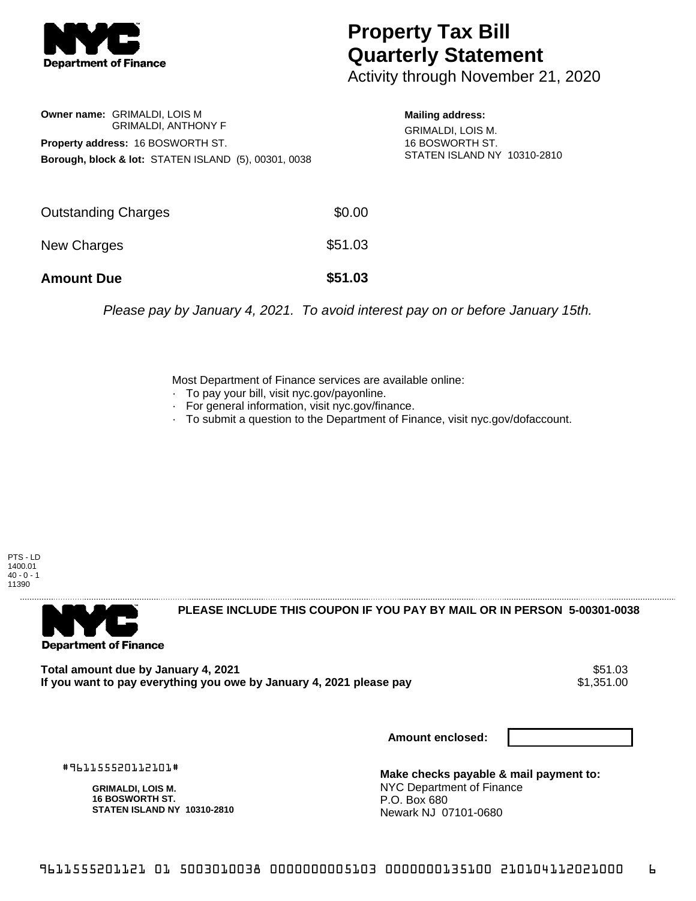

## **Property Tax Bill Quarterly Statement**

Activity through November 21, 2020

| Owner name: GRIMALDI, LOIS M                                    |
|-----------------------------------------------------------------|
| <b>GRIMALDI, ANTHONY F</b>                                      |
| <b>Property address: 16 BOSWORTH ST.</b>                        |
| <b>Borough, block &amp; lot: STATEN ISLAND (5), 00301, 0038</b> |

**Mailing address:**

GRIMALDI, LOIS M. 16 BOSWORTH ST. STATEN ISLAND NY 10310-2810

| <b>Amount Due</b>          | \$51.03 |
|----------------------------|---------|
| New Charges                | \$51.03 |
| <b>Outstanding Charges</b> | \$0.00  |

Please pay by January 4, 2021. To avoid interest pay on or before January 15th.

Most Department of Finance services are available online:

- · To pay your bill, visit nyc.gov/payonline.
- For general information, visit nyc.gov/finance.
- · To submit a question to the Department of Finance, visit nyc.gov/dofaccount.

PTS - LD 1400.01  $40 - 0 - 1$ 11390



**PLEASE INCLUDE THIS COUPON IF YOU PAY BY MAIL OR IN PERSON 5-00301-0038** 

**Total amount due by January 4, 2021** \$51.03 If you want to pay everything you owe by January 4, 2021 please pay

**Amount enclosed:**

#961155520112101#

**GRIMALDI, LOIS M. 16 BOSWORTH ST. STATEN ISLAND NY 10310-2810**

**Make checks payable & mail payment to:** NYC Department of Finance P.O. Box 680 Newark NJ 07101-0680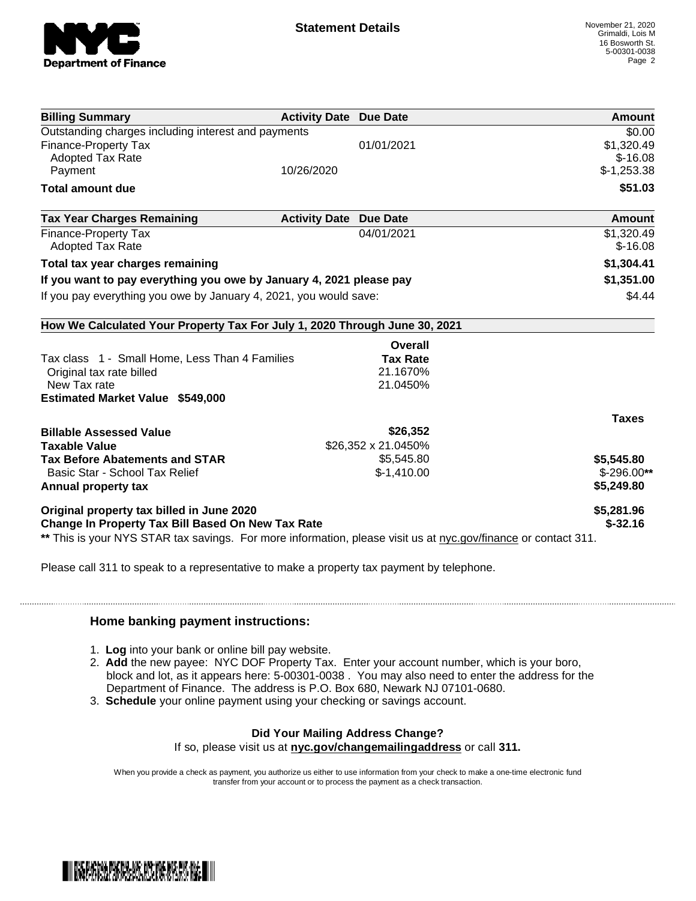

| <b>Billing Summary</b>                                                                                                                                              | <b>Activity Date Due Date</b> | Amount       |
|---------------------------------------------------------------------------------------------------------------------------------------------------------------------|-------------------------------|--------------|
| Outstanding charges including interest and payments                                                                                                                 |                               | \$0.00       |
| <b>Finance-Property Tax</b>                                                                                                                                         | 01/01/2021                    | \$1,320.49   |
| <b>Adopted Tax Rate</b>                                                                                                                                             |                               | $$-16.08$    |
| Payment                                                                                                                                                             | 10/26/2020                    | $$-1,253.38$ |
| <b>Total amount due</b>                                                                                                                                             |                               | \$51.03      |
| <b>Tax Year Charges Remaining</b>                                                                                                                                   | <b>Activity Date Due Date</b> | Amount       |
| Finance-Property Tax                                                                                                                                                | 04/01/2021                    | \$1,320.49   |
| <b>Adopted Tax Rate</b>                                                                                                                                             |                               | $$-16.08$    |
| Total tax year charges remaining                                                                                                                                    | \$1,304.41                    |              |
| If you want to pay everything you owe by January 4, 2021 please pay                                                                                                 | \$1,351.00                    |              |
| If you pay everything you owe by January 4, 2021, you would save:                                                                                                   | \$4.44                        |              |
|                                                                                                                                                                     |                               |              |
| How We Calculated Your Property Tax For July 1, 2020 Through June 30, 2021                                                                                          |                               |              |
|                                                                                                                                                                     | Overall                       |              |
| Tax class 1 - Small Home, Less Than 4 Families                                                                                                                      | <b>Tax Rate</b>               |              |
| Original tax rate billed                                                                                                                                            | 21.1670%                      |              |
| New Tax rate                                                                                                                                                        | 21.0450%                      |              |
| <b>Estimated Market Value \$549,000</b>                                                                                                                             |                               |              |
|                                                                                                                                                                     |                               | <b>Taxes</b> |
|                                                                                                                                                                     |                               |              |
|                                                                                                                                                                     | \$26,352                      |              |
|                                                                                                                                                                     | \$26,352 x 21.0450%           |              |
|                                                                                                                                                                     | \$5,545.80                    | \$5,545.80   |
| Basic Star - School Tax Relief                                                                                                                                      | $$-1,410.00$                  | $$-296.00**$ |
|                                                                                                                                                                     |                               | \$5,249.80   |
| <b>Billable Assessed Value</b><br><b>Taxable Value</b><br><b>Tax Before Abatements and STAR</b><br>Annual property tax<br>Original property tax billed in June 2020 |                               | \$5,281.96   |

Please call 311 to speak to a representative to make a property tax payment by telephone.

## **Home banking payment instructions:**

- 1. **Log** into your bank or online bill pay website.
- 2. **Add** the new payee: NYC DOF Property Tax. Enter your account number, which is your boro, block and lot, as it appears here: 5-00301-0038 . You may also need to enter the address for the Department of Finance. The address is P.O. Box 680, Newark NJ 07101-0680.
- 3. **Schedule** your online payment using your checking or savings account.

## **Did Your Mailing Address Change?**

If so, please visit us at **nyc.gov/changemailingaddress** or call **311.**

When you provide a check as payment, you authorize us either to use information from your check to make a one-time electronic fund transfer from your account or to process the payment as a check transaction.